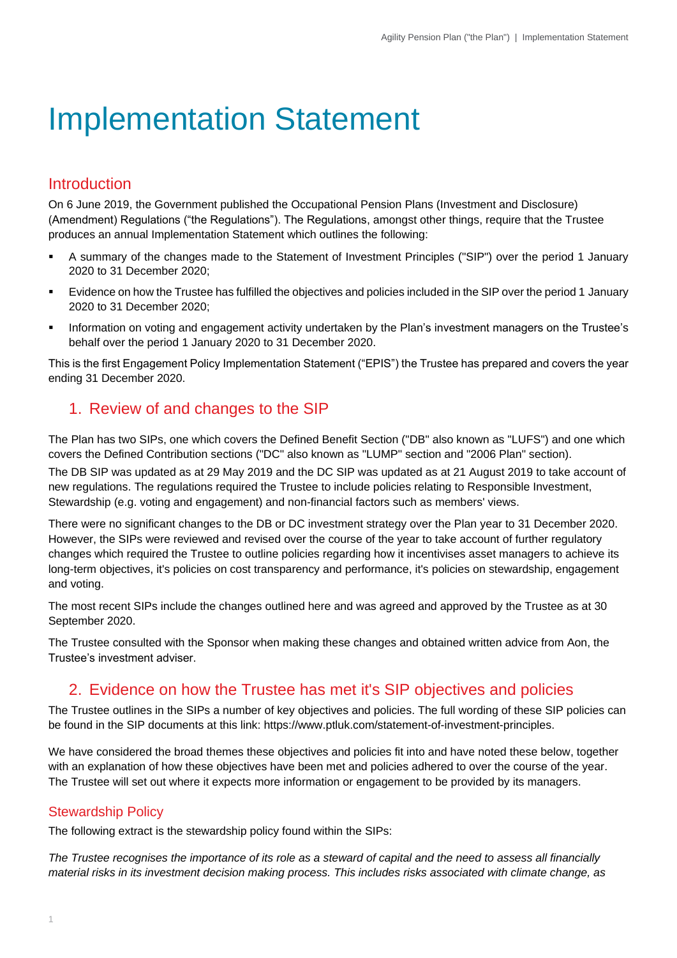# Implementation Statement

### Introduction

On 6 June 2019, the Government published the Occupational Pension Plans (Investment and Disclosure) (Amendment) Regulations ("the Regulations"). The Regulations, amongst other things, require that the Trustee produces an annual Implementation Statement which outlines the following:

- A summary of the changes made to the Statement of Investment Principles ("SIP") over the period 1 January 2020 to 31 December 2020;
- Evidence on how the Trustee has fulfilled the objectives and policies included in the SIP over the period 1 January 2020 to 31 December 2020;
- Information on voting and engagement activity undertaken by the Plan's investment managers on the Trustee's behalf over the period 1 January 2020 to 31 December 2020.

This is the first Engagement Policy Implementation Statement ("EPIS") the Trustee has prepared and covers the year ending 31 December 2020.

## 1. Review of and changes to the SIP

The Plan has two SIPs, one which covers the Defined Benefit Section ("DB" also known as "LUFS") and one which covers the Defined Contribution sections ("DC" also known as "LUMP" section and "2006 Plan" section).

The DB SIP was updated as at 29 May 2019 and the DC SIP was updated as at 21 August 2019 to take account of new regulations. The regulations required the Trustee to include policies relating to Responsible Investment, Stewardship (e.g. voting and engagement) and non-financial factors such as members' views.

There were no significant changes to the DB or DC investment strategy over the Plan year to 31 December 2020. However, the SIPs were reviewed and revised over the course of the year to take account of further regulatory changes which required the Trustee to outline policies regarding how it incentivises asset managers to achieve its long-term objectives, it's policies on cost transparency and performance, it's policies on stewardship, engagement and voting.

The most recent SIPs include the changes outlined here and was agreed and approved by the Trustee as at 30 September 2020.

The Trustee consulted with the Sponsor when making these changes and obtained written advice from Aon, the Trustee's investment adviser.

### 2. Evidence on how the Trustee has met it's SIP objectives and policies

The Trustee outlines in the SIPs a number of key objectives and policies. The full wording of these SIP policies can be found in the SIP documents at this link: https://www.ptluk.com/statement-of-investment-principles.

We have considered the broad themes these objectives and policies fit into and have noted these below, together with an explanation of how these objectives have been met and policies adhered to over the course of the year. The Trustee will set out where it expects more information or engagement to be provided by its managers.

### Stewardship Policy

The following extract is the stewardship policy found within the SIPs:

*The Trustee recognises the importance of its role as a steward of capital and the need to assess all financially material risks in its investment decision making process. This includes risks associated with climate change, as*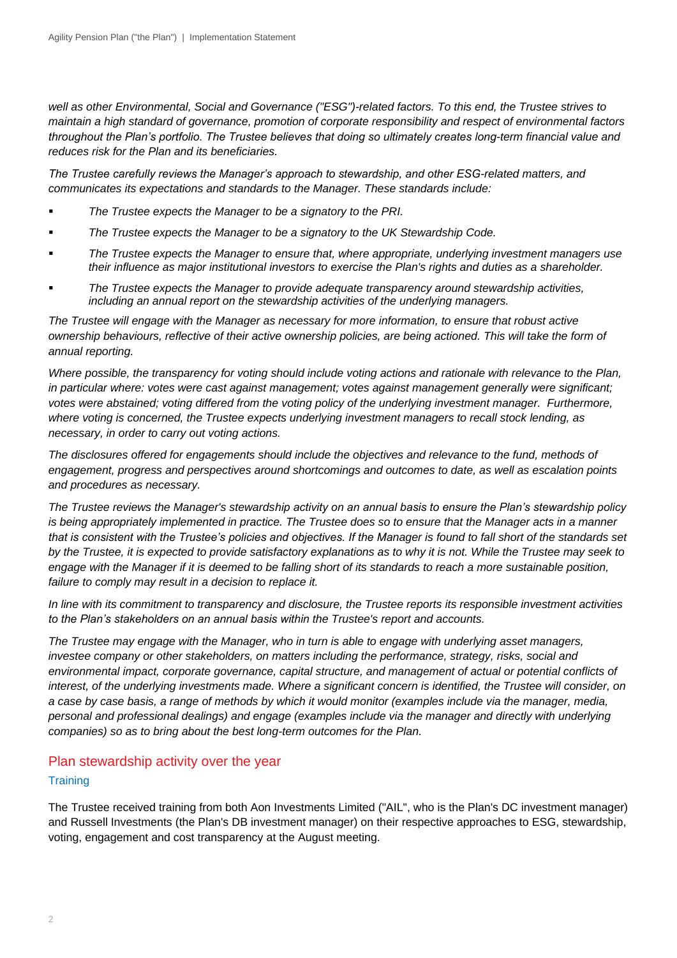*well as other Environmental, Social and Governance ("ESG")-related factors. To this end, the Trustee strives to maintain a high standard of governance, promotion of corporate responsibility and respect of environmental factors throughout the Plan's portfolio. The Trustee believes that doing so ultimately creates long-term financial value and reduces risk for the Plan and its beneficiaries.* 

*The Trustee carefully reviews the Manager's approach to stewardship, and other ESG-related matters, and communicates its expectations and standards to the Manager. These standards include:*

- *The Trustee expects the Manager to be a signatory to the PRI.*
- The Trustee expects the Manager to be a signatory to the UK Stewardship Code.
- The Trustee expects the Manager to ensure that, where appropriate, underlying investment managers use *their influence as major institutional investors to exercise the Plan's rights and duties as a shareholder.*
- *The Trustee expects the Manager to provide adequate transparency around stewardship activities, including an annual report on the stewardship activities of the underlying managers.*

*The Trustee will engage with the Manager as necessary for more information, to ensure that robust active ownership behaviours, reflective of their active ownership policies, are being actioned. This will take the form of annual reporting.* 

*Where possible, the transparency for voting should include voting actions and rationale with relevance to the Plan, in particular where: votes were cast against management; votes against management generally were significant; votes were abstained; voting differed from the voting policy of the underlying investment manager. Furthermore, where voting is concerned, the Trustee expects underlying investment managers to recall stock lending, as necessary, in order to carry out voting actions.* 

*The disclosures offered for engagements should include the objectives and relevance to the fund, methods of engagement, progress and perspectives around shortcomings and outcomes to date, as well as escalation points and procedures as necessary.* 

*The Trustee reviews the Manager's stewardship activity on an annual basis to ensure the Plan's stewardship policy is being appropriately implemented in practice. The Trustee does so to ensure that the Manager acts in a manner that is consistent with the Trustee's policies and objectives. If the Manager is found to fall short of the standards set by the Trustee, it is expected to provide satisfactory explanations as to why it is not. While the Trustee may seek to engage with the Manager if it is deemed to be falling short of its standards to reach a more sustainable position, failure to comply may result in a decision to replace it.*

*In line with its commitment to transparency and disclosure, the Trustee reports its responsible investment activities to the Plan's stakeholders on an annual basis within the Trustee's report and accounts.*

*The Trustee may engage with the Manager, who in turn is able to engage with underlying asset managers, investee company or other stakeholders, on matters including the performance, strategy, risks, social and*  environmental impact, corporate governance, capital structure, and management of actual or potential conflicts of *interest, of the underlying investments made. Where a significant concern is identified, the Trustee will consider, on a case by case basis, a range of methods by which it would monitor (examples include via the manager, media, personal and professional dealings) and engage (examples include via the manager and directly with underlying companies) so as to bring about the best long-term outcomes for the Plan.*

### Plan stewardship activity over the year

### **Training**

The Trustee received training from both Aon Investments Limited ("AIL", who is the Plan's DC investment manager) and Russell Investments (the Plan's DB investment manager) on their respective approaches to ESG, stewardship, voting, engagement and cost transparency at the August meeting.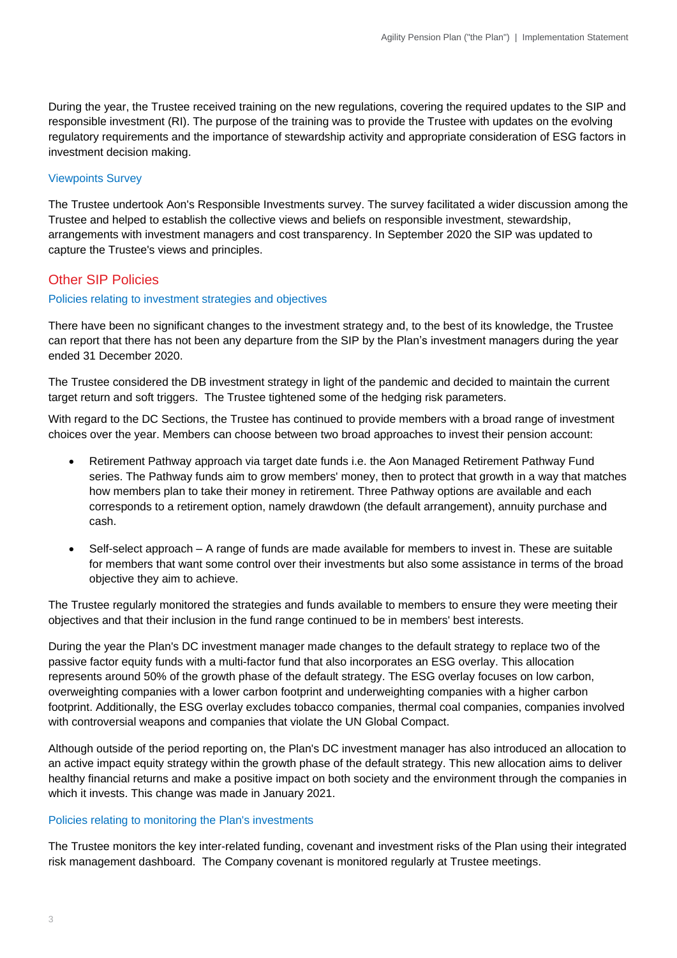During the year, the Trustee received training on the new regulations, covering the required updates to the SIP and responsible investment (RI). The purpose of the training was to provide the Trustee with updates on the evolving regulatory requirements and the importance of stewardship activity and appropriate consideration of ESG factors in investment decision making.

### Viewpoints Survey

The Trustee undertook Aon's Responsible Investments survey. The survey facilitated a wider discussion among the Trustee and helped to establish the collective views and beliefs on responsible investment, stewardship, arrangements with investment managers and cost transparency. In September 2020 the SIP was updated to capture the Trustee's views and principles.

### Other SIP Policies

### Policies relating to investment strategies and objectives

There have been no significant changes to the investment strategy and, to the best of its knowledge, the Trustee can report that there has not been any departure from the SIP by the Plan's investment managers during the year ended 31 December 2020.

The Trustee considered the DB investment strategy in light of the pandemic and decided to maintain the current target return and soft triggers. The Trustee tightened some of the hedging risk parameters.

With regard to the DC Sections, the Trustee has continued to provide members with a broad range of investment choices over the year. Members can choose between two broad approaches to invest their pension account:

- Retirement Pathway approach via target date funds i.e. the Aon Managed Retirement Pathway Fund series. The Pathway funds aim to grow members' money, then to protect that growth in a way that matches how members plan to take their money in retirement. Three Pathway options are available and each corresponds to a retirement option, namely drawdown (the default arrangement), annuity purchase and cash.
- Self-select approach A range of funds are made available for members to invest in. These are suitable for members that want some control over their investments but also some assistance in terms of the broad objective they aim to achieve.

The Trustee regularly monitored the strategies and funds available to members to ensure they were meeting their objectives and that their inclusion in the fund range continued to be in members' best interests.

During the year the Plan's DC investment manager made changes to the default strategy to replace two of the passive factor equity funds with a multi-factor fund that also incorporates an ESG overlay. This allocation represents around 50% of the growth phase of the default strategy. The ESG overlay focuses on low carbon, overweighting companies with a lower carbon footprint and underweighting companies with a higher carbon footprint. Additionally, the ESG overlay excludes tobacco companies, thermal coal companies, companies involved with controversial weapons and companies that violate the UN Global Compact.

Although outside of the period reporting on, the Plan's DC investment manager has also introduced an allocation to an active impact equity strategy within the growth phase of the default strategy. This new allocation aims to deliver healthy financial returns and make a positive impact on both society and the environment through the companies in which it invests. This change was made in January 2021.

### Policies relating to monitoring the Plan's investments

The Trustee monitors the key inter-related funding, covenant and investment risks of the Plan using their integrated risk management dashboard. The Company covenant is monitored regularly at Trustee meetings.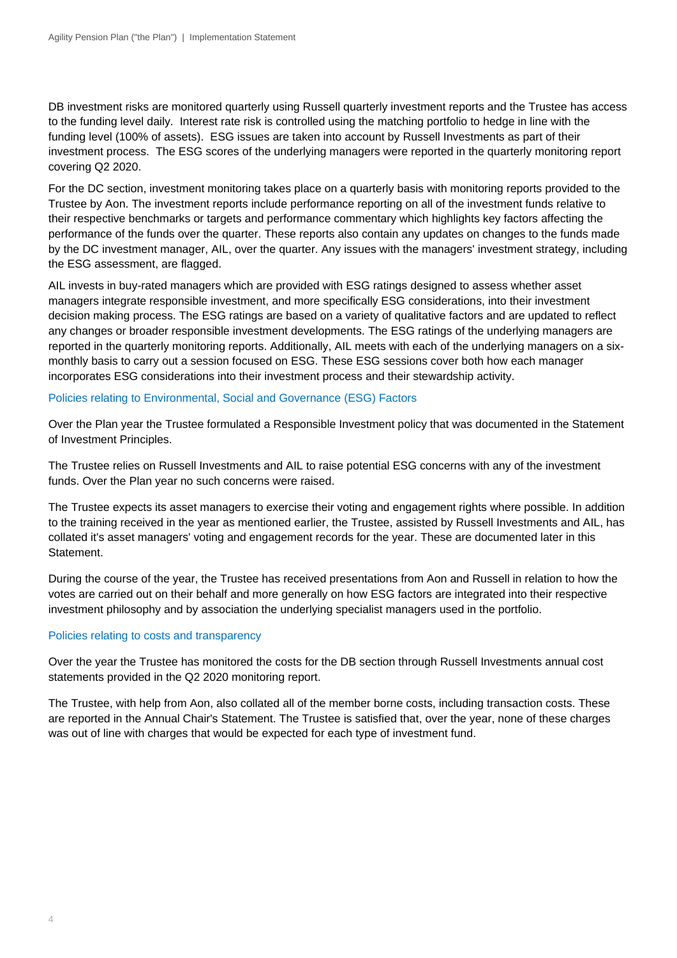DB investment risks are monitored quarterly using Russell quarterly investment reports and the Trustee has access to the funding level daily. Interest rate risk is controlled using the matching portfolio to hedge in line with the funding level (100% of assets). ESG issues are taken into account by Russell Investments as part of their investment process. The ESG scores of the underlying managers were reported in the quarterly monitoring report covering Q2 2020.

For the DC section, investment monitoring takes place on a quarterly basis with monitoring reports provided to the Trustee by Aon. The investment reports include performance reporting on all of the investment funds relative to their respective benchmarks or targets and performance commentary which highlights key factors affecting the performance of the funds over the quarter. These reports also contain any updates on changes to the funds made by the DC investment manager, AIL, over the quarter. Any issues with the managers' investment strategy, including the ESG assessment, are flagged.

AIL invests in buy-rated managers which are provided with ESG ratings designed to assess whether asset managers integrate responsible investment, and more specifically ESG considerations, into their investment decision making process. The ESG ratings are based on a variety of qualitative factors and are updated to reflect any changes or broader responsible investment developments. The ESG ratings of the underlying managers are reported in the quarterly monitoring reports. Additionally, AIL meets with each of the underlying managers on a sixmonthly basis to carry out a session focused on ESG. These ESG sessions cover both how each manager incorporates ESG considerations into their investment process and their stewardship activity.

### Policies relating to Environmental, Social and Governance (ESG) Factors

Over the Plan year the Trustee formulated a Responsible Investment policy that was documented in the Statement of Investment Principles.

The Trustee relies on Russell Investments and AIL to raise potential ESG concerns with any of the investment funds. Over the Plan year no such concerns were raised.

The Trustee expects its asset managers to exercise their voting and engagement rights where possible. In addition to the training received in the year as mentioned earlier, the Trustee, assisted by Russell Investments and AIL, has collated it's asset managers' voting and engagement records for the year. These are documented later in this Statement.

During the course of the year, the Trustee has received presentations from Aon and Russell in relation to how the votes are carried out on their behalf and more generally on how ESG factors are integrated into their respective investment philosophy and by association the underlying specialist managers used in the portfolio.

### Policies relating to costs and transparency

Over the year the Trustee has monitored the costs for the DB section through Russell Investments annual cost statements provided in the Q2 2020 monitoring report.

The Trustee, with help from Aon, also collated all of the member borne costs, including transaction costs. These are reported in the Annual Chair's Statement. The Trustee is satisfied that, over the year, none of these charges was out of line with charges that would be expected for each type of investment fund.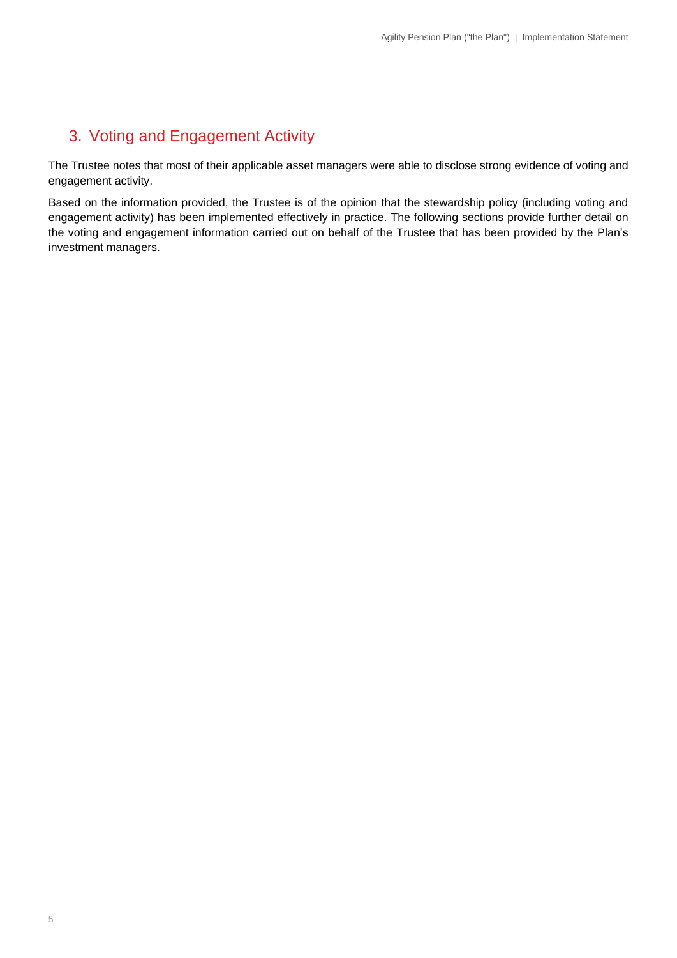## 3. Voting and Engagement Activity

The Trustee notes that most of their applicable asset managers were able to disclose strong evidence of voting and engagement activity.

Based on the information provided, the Trustee is of the opinion that the stewardship policy (including voting and engagement activity) has been implemented effectively in practice. The following sections provide further detail on the voting and engagement information carried out on behalf of the Trustee that has been provided by the Plan's investment managers.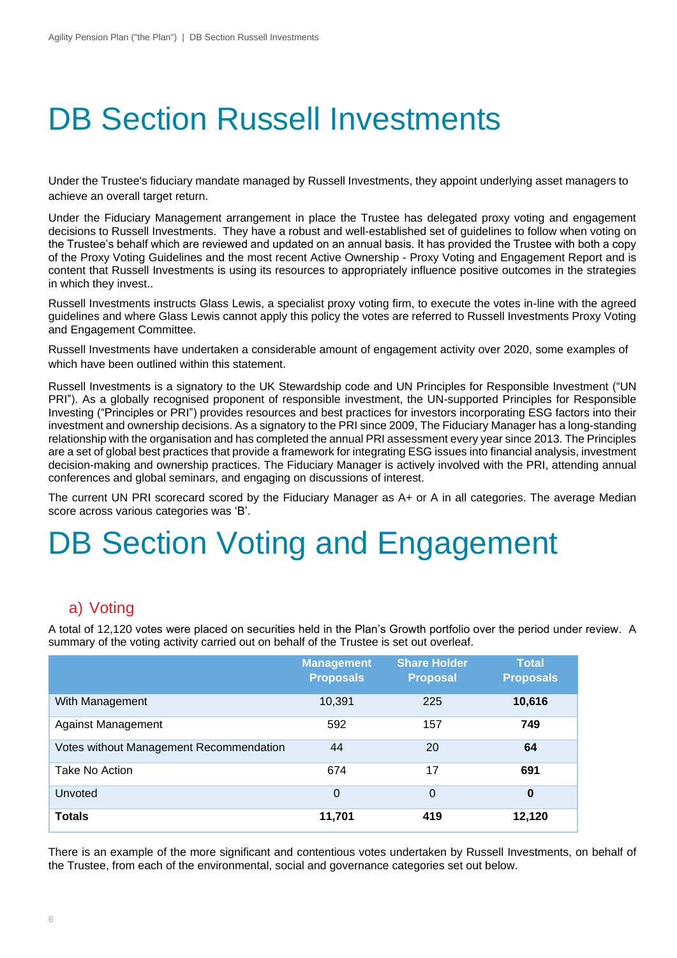# DB Section Russell Investments

Under the Trustee's fiduciary mandate managed by Russell Investments, they appoint underlying asset managers to achieve an overall target return.

Under the Fiduciary Management arrangement in place the Trustee has delegated proxy voting and engagement decisions to Russell Investments. They have a robust and well-established set of guidelines to follow when voting on the Trustee's behalf which are reviewed and updated on an annual basis. It has provided the Trustee with both a copy of the Proxy Voting Guidelines and the most recent Active Ownership - Proxy Voting and Engagement Report and is content that Russell Investments is using its resources to appropriately influence positive outcomes in the strategies in which they invest..

Russell Investments instructs Glass Lewis, a specialist proxy voting firm, to execute the votes in-line with the agreed guidelines and where Glass Lewis cannot apply this policy the votes are referred to Russell Investments Proxy Voting and Engagement Committee.

Russell Investments have undertaken a considerable amount of engagement activity over 2020, some examples of which have been outlined within this statement.

Russell Investments is a signatory to the UK Stewardship code and UN Principles for Responsible Investment ("UN PRI"). As a globally recognised proponent of responsible investment, the UN-supported Principles for Responsible Investing ("Principles or PRI") provides resources and best practices for investors incorporating ESG factors into their investment and ownership decisions. As a signatory to the PRI since 2009, The Fiduciary Manager has a long-standing relationship with the organisation and has completed the annual PRI assessment every year since 2013. The Principles are a set of global best practices that provide a framework for integrating ESG issues into financial analysis, investment decision-making and ownership practices. The Fiduciary Manager is actively involved with the PRI, attending annual conferences and global seminars, and engaging on discussions of interest.

The current UN PRI scorecard scored by the Fiduciary Manager as A+ or A in all categories. The average Median score across various categories was 'B'.

# DB Section Voting and Engagement

### a) Voting

A total of 12,120 votes were placed on securities held in the Plan's Growth portfolio over the period under review. A summary of the voting activity carried out on behalf of the Trustee is set out overleaf.

|                                         | <b>Management</b><br><b>Proposals</b> | <b>Share Holder</b><br><b>Proposal</b> | <b>Total</b><br><b>Proposals</b> |
|-----------------------------------------|---------------------------------------|----------------------------------------|----------------------------------|
| With Management                         | 10,391                                | 225                                    | 10,616                           |
| <b>Against Management</b>               | 592                                   | 157                                    | 749                              |
| Votes without Management Recommendation | 44                                    | 20                                     | 64                               |
| Take No Action                          | 674                                   | 17                                     | 691                              |
| <b>Unvoted</b>                          | $\overline{0}$                        | $\overline{0}$                         | 0                                |
| <b>Totals</b>                           | 11,701                                | 419                                    | 12,120                           |

There is an example of the more significant and contentious votes undertaken by Russell Investments, on behalf of the Trustee, from each of the environmental, social and governance categories set out below.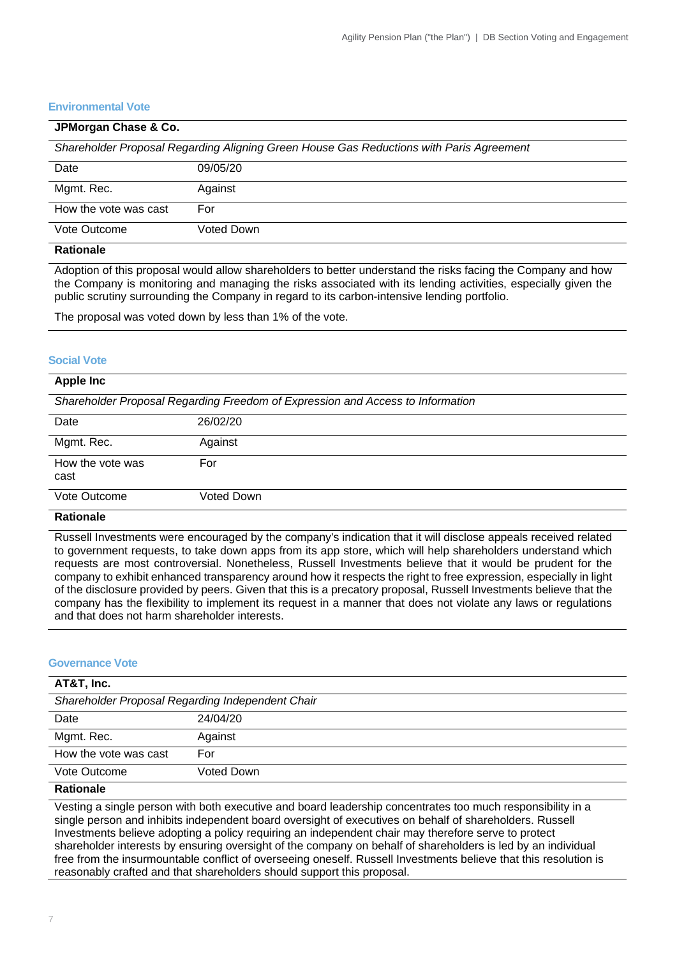### **Environmental Vote**

| JPMorgan Chase & Co.  |                                                                                         |
|-----------------------|-----------------------------------------------------------------------------------------|
|                       | Shareholder Proposal Regarding Aligning Green House Gas Reductions with Paris Agreement |
| Date                  | 09/05/20                                                                                |
| Mgmt. Rec.            | Against                                                                                 |
| How the vote was cast | For                                                                                     |
| Vote Outcome          | Voted Down                                                                              |
| <b>Rationale</b>      |                                                                                         |

**Rationale**

Adoption of this proposal would allow shareholders to better understand the risks facing the Company and how the Company is monitoring and managing the risks associated with its lending activities, especially given the public scrutiny surrounding the Company in regard to its carbon-intensive lending portfolio.

The proposal was voted down by less than 1% of the vote.

#### **Social Vote**

| <b>Apple Inc</b>         |                                                                                |
|--------------------------|--------------------------------------------------------------------------------|
|                          | Shareholder Proposal Regarding Freedom of Expression and Access to Information |
| Date                     | 26/02/20                                                                       |
| Mgmt. Rec.               | Against                                                                        |
| How the vote was<br>cast | For                                                                            |
| Vote Outcome             | Voted Down                                                                     |
| Deste a ele              |                                                                                |

### **Rationale**

Russell Investments were encouraged by the company's indication that it will disclose appeals received related to government requests, to take down apps from its app store, which will help shareholders understand which requests are most controversial. Nonetheless, Russell Investments believe that it would be prudent for the company to exhibit enhanced transparency around how it respects the right to free expression, especially in light of the disclosure provided by peers. Given that this is a precatory proposal, Russell Investments believe that the company has the flexibility to implement its request in a manner that does not violate any laws or regulations and that does not harm shareholder interests.

#### **Governance Vote**

| AT&T, Inc.                                       |            |
|--------------------------------------------------|------------|
| Shareholder Proposal Regarding Independent Chair |            |
| Date                                             | 24/04/20   |
| Mgmt. Rec.                                       | Against    |
| How the vote was cast                            | For        |
| Vote Outcome                                     | Voted Down |

### **Rationale**

Vesting a single person with both executive and board leadership concentrates too much responsibility in a single person and inhibits independent board oversight of executives on behalf of shareholders. Russell Investments believe adopting a policy requiring an independent chair may therefore serve to protect shareholder interests by ensuring oversight of the company on behalf of shareholders is led by an individual free from the insurmountable conflict of overseeing oneself. Russell Investments believe that this resolution is reasonably crafted and that shareholders should support this proposal.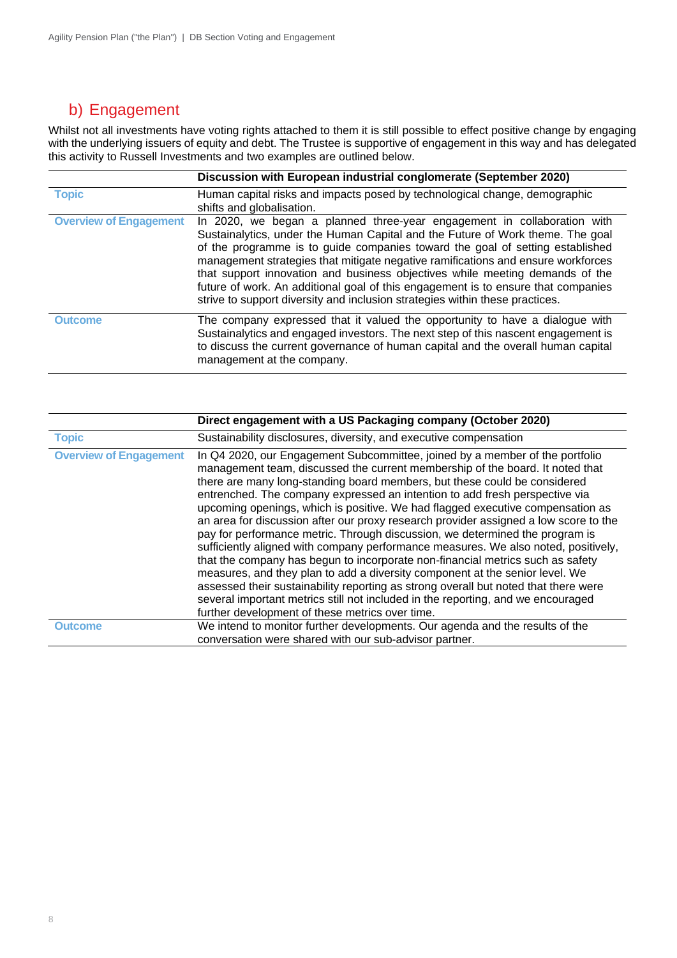## b) Engagement

Whilst not all investments have voting rights attached to them it is still possible to effect positive change by engaging with the underlying issuers of equity and debt. The Trustee is supportive of engagement in this way and has delegated this activity to Russell Investments and two examples are outlined below.

|                               | Discussion with European industrial conglomerate (September 2020)                                                                                                                                                                                                                                                                                                                                                                                                                                                                                                                   |
|-------------------------------|-------------------------------------------------------------------------------------------------------------------------------------------------------------------------------------------------------------------------------------------------------------------------------------------------------------------------------------------------------------------------------------------------------------------------------------------------------------------------------------------------------------------------------------------------------------------------------------|
| <b>Topic</b>                  | Human capital risks and impacts posed by technological change, demographic<br>shifts and globalisation.                                                                                                                                                                                                                                                                                                                                                                                                                                                                             |
| <b>Overview of Engagement</b> | In 2020, we began a planned three-year engagement in collaboration with<br>Sustainalytics, under the Human Capital and the Future of Work theme. The goal<br>of the programme is to guide companies toward the goal of setting established<br>management strategies that mitigate negative ramifications and ensure workforces<br>that support innovation and business objectives while meeting demands of the<br>future of work. An additional goal of this engagement is to ensure that companies<br>strive to support diversity and inclusion strategies within these practices. |
| <b>Outcome</b>                | The company expressed that it valued the opportunity to have a dialogue with<br>Sustainalytics and engaged investors. The next step of this nascent engagement is<br>to discuss the current governance of human capital and the overall human capital<br>management at the company.                                                                                                                                                                                                                                                                                                 |

|                               | Direct engagement with a US Packaging company (October 2020)                                                                                                                                                                                                                                                                                                                                                                                                                                                                                                                                                                                                                                                                                                                                                                                                                                                                                                                                                                                                              |
|-------------------------------|---------------------------------------------------------------------------------------------------------------------------------------------------------------------------------------------------------------------------------------------------------------------------------------------------------------------------------------------------------------------------------------------------------------------------------------------------------------------------------------------------------------------------------------------------------------------------------------------------------------------------------------------------------------------------------------------------------------------------------------------------------------------------------------------------------------------------------------------------------------------------------------------------------------------------------------------------------------------------------------------------------------------------------------------------------------------------|
| <b>Topic</b>                  | Sustainability disclosures, diversity, and executive compensation                                                                                                                                                                                                                                                                                                                                                                                                                                                                                                                                                                                                                                                                                                                                                                                                                                                                                                                                                                                                         |
| <b>Overview of Engagement</b> | In Q4 2020, our Engagement Subcommittee, joined by a member of the portfolio<br>management team, discussed the current membership of the board. It noted that<br>there are many long-standing board members, but these could be considered<br>entrenched. The company expressed an intention to add fresh perspective via<br>upcoming openings, which is positive. We had flagged executive compensation as<br>an area for discussion after our proxy research provider assigned a low score to the<br>pay for performance metric. Through discussion, we determined the program is<br>sufficiently aligned with company performance measures. We also noted, positively,<br>that the company has begun to incorporate non-financial metrics such as safety<br>measures, and they plan to add a diversity component at the senior level. We<br>assessed their sustainability reporting as strong overall but noted that there were<br>several important metrics still not included in the reporting, and we encouraged<br>further development of these metrics over time. |
| <b>Outcome</b>                | We intend to monitor further developments. Our agenda and the results of the<br>conversation were shared with our sub-advisor partner.                                                                                                                                                                                                                                                                                                                                                                                                                                                                                                                                                                                                                                                                                                                                                                                                                                                                                                                                    |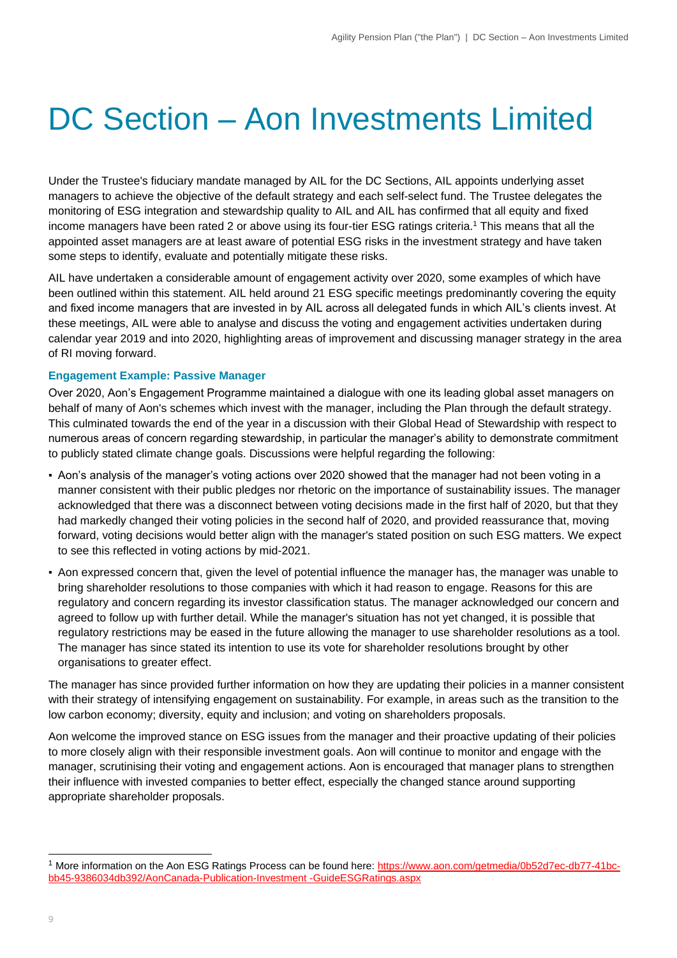# DC Section – Aon Investments Limited

Under the Trustee's fiduciary mandate managed by AIL for the DC Sections, AIL appoints underlying asset managers to achieve the objective of the default strategy and each self-select fund. The Trustee delegates the monitoring of ESG integration and stewardship quality to AIL and AIL has confirmed that all equity and fixed income managers have been rated 2 or above using its four-tier ESG ratings criteria.<sup>1</sup> This means that all the appointed asset managers are at least aware of potential ESG risks in the investment strategy and have taken some steps to identify, evaluate and potentially mitigate thes[e risks.](https://www.aon.com/getmedia/0b52d7ec-db77-41bc-bb45-9386034db392/AonCanada-Publication-Investment-GuideESGRatings.aspx)

AIL have undertaken a considerable amount of engagement activity over 2020, some examples of which have been outlined within this statement. AIL held around 21 ESG specific meetings predominantly covering the equity and fixed income managers that are invested in by AIL across all delegated funds in which AIL's clients invest. At these meetings, AIL were able to analyse and discuss the voting and engagement activities undertaken during calendar year 2019 and into 2020, highlighting areas of improvement and discussing manager strategy in the area of RI moving forward.

### **Engagement Example: Passive Manager**

Over 2020, Aon's Engagement Programme maintained a dialogue with one its leading global asset managers on behalf of many of Aon's schemes which invest with the manager, including the Plan through the default strategy. This culminated towards the end of the year in a discussion with their Global Head of Stewardship with respect to numerous areas of concern regarding stewardship, in particular the manager's ability to demonstrate commitment to publicly stated climate change goals. Discussions were helpful regarding the following:

- Aon's analysis of the manager's voting actions over 2020 showed that the manager had not been voting in a manner consistent with their public pledges nor rhetoric on the importance of sustainability issues. The manager acknowledged that there was a disconnect between voting decisions made in the first half of 2020, but that they had markedly changed their voting policies in the second half of 2020, and provided reassurance that, moving forward, voting decisions would better align with the manager's stated position on such ESG matters. We expect to see this reflected in voting actions by mid-2021.
- Aon expressed concern that, given the level of potential influence the manager has, the manager was unable to bring shareholder resolutions to those companies with which it had reason to engage. Reasons for this are regulatory and concern regarding its investor classification status. The manager acknowledged our concern and agreed to follow up with further detail. While the manager's situation has not yet changed, it is possible that regulatory restrictions may be eased in the future allowing the manager to use shareholder resolutions as a tool. The manager has since stated its intention to use its vote for shareholder resolutions brought by other organisations to greater effect.

The manager has since provided further information on how they are updating their policies in a manner consistent with their strategy of intensifying engagement on sustainability. For example, in areas such as the transition to the low carbon economy; diversity, equity and inclusion; and voting on shareholders proposals.

Aon welcome the improved stance on ESG issues from the manager and their proactive updating of their policies to more closely align with their responsible investment goals. Aon will continue to monitor and engage with the manager, scrutinising their voting and engagement actions. Aon is encouraged that manager plans to strengthen their influence with invested companies to better effect, especially the changed stance around supporting appropriate shareholder proposals.

<sup>&</sup>lt;sup>1</sup> More information on the Aon ESG Ratings Process can be found here: [https://www.aon.com/getmedia/0b52d7ec-db77-41bc](https://www.aon.com/getmedia/0b52d7ec-db77-41bc-bb45-9386034db392/AonCanada-Publication-Investment-GuideESGRatings.aspx)[bb45-9386034db392/AonCanada-Publication-Investment -GuideESGRatings.aspx](https://www.aon.com/getmedia/0b52d7ec-db77-41bc-bb45-9386034db392/AonCanada-Publication-Investment-GuideESGRatings.aspx)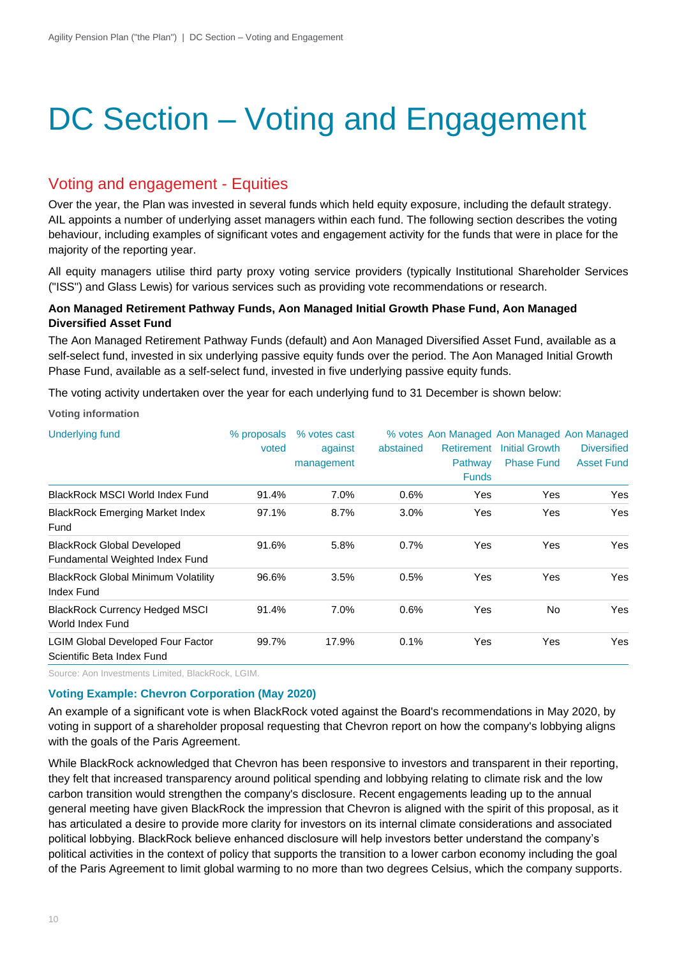# DC Section – Voting and Engagement

### Voting and engagement - Equities

Over the year, the Plan was invested in several funds which held equity exposure, including the default strategy. AIL appoints a number of underlying asset managers within each fund. The following section describes the voting behaviour, including examples of significant votes and engagement activity for the funds that were in place for the majority of the reporting year.

All equity managers utilise third party proxy voting service providers (typically Institutional Shareholder Services ("ISS") and Glass Lewis) for various services such as providing vote recommendations or research.

### **Aon Managed Retirement Pathway Funds, Aon Managed Initial Growth Phase Fund, Aon Managed Diversified Asset Fund**

The Aon Managed Retirement Pathway Funds (default) and Aon Managed Diversified Asset Fund, available as a self-select fund, invested in six underlying passive equity funds over the period. The Aon Managed Initial Growth Phase Fund, available as a self-select fund, invested in five underlying passive equity funds.

The voting activity undertaken over the year for each underlying fund to 31 December is shown below:

**Voting information**

| <b>Underlying fund</b>                                                 | % proposals<br>voted | % votes cast<br>against<br>management | abstained | Retirement<br>Pathway<br><b>Funds</b> | % votes Aon Managed Aon Managed Aon Managed<br><b>Initial Growth</b><br><b>Phase Fund</b> | <b>Diversified</b><br><b>Asset Fund</b> |
|------------------------------------------------------------------------|----------------------|---------------------------------------|-----------|---------------------------------------|-------------------------------------------------------------------------------------------|-----------------------------------------|
| <b>BlackRock MSCI World Index Fund</b>                                 | 91.4%                | 7.0%                                  | 0.6%      | Yes                                   | Yes                                                                                       | Yes                                     |
| <b>BlackRock Emerging Market Index</b><br>Fund                         | 97.1%                | 8.7%                                  | 3.0%      | Yes                                   | Yes                                                                                       | Yes                                     |
| <b>BlackRock Global Developed</b><br>Fundamental Weighted Index Fund   | 91.6%                | 5.8%                                  | 0.7%      | Yes                                   | Yes                                                                                       | Yes                                     |
| <b>BlackRock Global Minimum Volatility</b><br>Index Fund               | 96.6%                | 3.5%                                  | 0.5%      | Yes                                   | Yes                                                                                       | Yes                                     |
| <b>BlackRock Currency Hedged MSCI</b><br>World Index Fund              | 91.4%                | 7.0%                                  | 0.6%      | Yes                                   | <b>No</b>                                                                                 | Yes                                     |
| <b>LGIM Global Developed Four Factor</b><br>Scientific Beta Index Fund | 99.7%                | 17.9%                                 | 0.1%      | Yes                                   | Yes                                                                                       | Yes                                     |

Source: Aon Investments Limited, BlackRock, LGIM.

### **Voting Example: Chevron Corporation (May 2020)**

An example of a significant vote is when BlackRock voted against the Board's recommendations in May 2020, by voting in support of a shareholder proposal requesting that Chevron report on how the company's lobbying aligns with the goals of the Paris Agreement.

While BlackRock acknowledged that Chevron has been responsive to investors and transparent in their reporting, they felt that increased transparency around political spending and lobbying relating to climate risk and the low carbon transition would strengthen the company's disclosure. Recent engagements leading up to the annual general meeting have given BlackRock the impression that Chevron is aligned with the spirit of this proposal, as it has articulated a desire to provide more clarity for investors on its internal climate considerations and associated political lobbying. BlackRock believe enhanced disclosure will help investors better understand the company's political activities in the context of policy that supports the transition to a lower carbon economy including the goal of the Paris Agreement to limit global warming to no more than two degrees Celsius, which the company supports.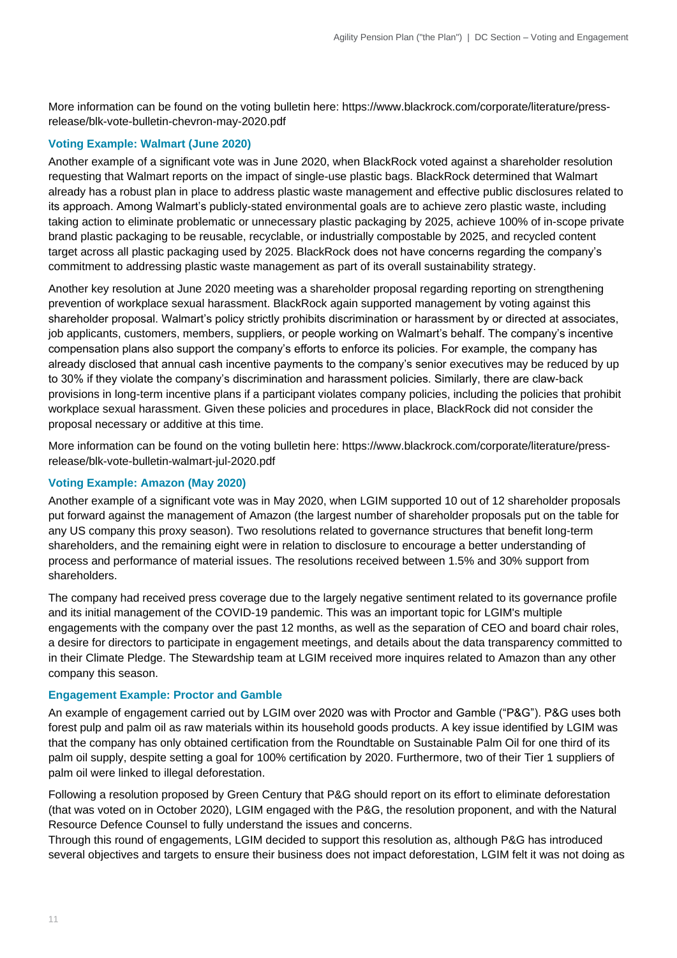More information can be found on the voting bulletin here: [https://www.blackrock.com/corporate/literature/press](https://www.blackrock.com/corporate/literature/press-release/blk-vote-bulletin-chevron-may-2020.pdf)[release/blk-vote-bulletin-chevron-may-2020.pdf](https://www.blackrock.com/corporate/literature/press-release/blk-vote-bulletin-chevron-may-2020.pdf)

### **Voting Example: Walmart (June 2020)**

Another example of a significant vote was in June 2020, when BlackRock voted against a shareholder resolution requesting that Walmart reports on the impact of single-use plastic bags. BlackRock determined that Walmart already has a robust plan in place to address plastic waste management and effective public disclosures related to its approach. Among Walmart's publicly-stated environmental goals are to achieve zero plastic waste, including taking action to eliminate problematic or unnecessary plastic packaging by 2025, achieve 100% of in-scope private brand plastic packaging to be reusable, recyclable, or industrially compostable by 2025, and recycled content target across all plastic packaging used by 2025. BlackRock does not have concerns regarding the company's commitment to addressing plastic waste management as part of its overall sustainability strategy.

Another key resolution at June 2020 meeting was a shareholder proposal regarding reporting on strengthening prevention of workplace sexual harassment. BlackRock again supported management by voting against this shareholder proposal. Walmart's policy strictly prohibits discrimination or harassment by or directed at associates, job applicants, customers, members, suppliers, or people working on Walmart's behalf. The company's incentive compensation plans also support the company's efforts to enforce its policies. For example, the company has already disclosed that annual cash incentive payments to the company's senior executives may be reduced by up to 30% if they violate the company's discrimination and harassment policies. Similarly, there are claw-back provisions in long-term incentive plans if a participant violates company policies, including the policies that prohibit workplace sexual harassment. Given these policies and procedures in place, BlackRock did not consider the proposal necessary or additive at this time.

More information can be found on the voting bulletin here: [https://www.blackrock.com/corporate/literature/press](https://www.blackrock.com/corporate/literature/press-release/blk-vote-bulletin-walmart-jul-2020.pdf)[release/blk-vote-bulletin-walmart-jul-2020.pdf](https://www.blackrock.com/corporate/literature/press-release/blk-vote-bulletin-walmart-jul-2020.pdf)

### **Voting Example: Amazon (May 2020)**

Another example of a significant vote was in May 2020, when LGIM supported 10 out of 12 shareholder proposals put forward against the management of Amazon (the largest number of shareholder proposals put on the table for any US company this proxy season). Two resolutions related to governance structures that benefit long-term shareholders, and the remaining eight were in relation to disclosure to encourage a better understanding of process and performance of material issues. The resolutions received between 1.5% and 30% support from shareholders.

The company had received press coverage due to the largely negative sentiment related to its governance profile and its initial management of the COVID-19 pandemic. This was an important topic for LGIM's multiple engagements with the company over the past 12 months, as well as the separation of CEO and board chair roles, a desire for directors to participate in engagement meetings, and details about the data transparency committed to in their Climate Pledge. The Stewardship team at LGIM received more inquires related to Amazon than any other company this season.

### **Engagement Example: Proctor and Gamble**

An example of engagement carried out by LGIM over 2020 was with Proctor and Gamble ("P&G"). P&G uses both forest pulp and palm oil as raw materials within its household goods products. A key issue identified by LGIM was that the company has only obtained certification from the Roundtable on Sustainable Palm Oil for one third of its palm oil supply, despite setting a goal for 100% certification by 2020. Furthermore, two of their Tier 1 suppliers of palm oil were linked to illegal deforestation.

Following a resolution proposed by Green Century that P&G should report on its effort to eliminate deforestation (that was voted on in October 2020), LGIM engaged with the P&G, the resolution proponent, and with the Natural Resource Defence Counsel to fully understand the issues and concerns.

Through this round of engagements, LGIM decided to support this resolution as, although P&G has introduced several objectives and targets to ensure their business does not impact deforestation, LGIM felt it was not doing as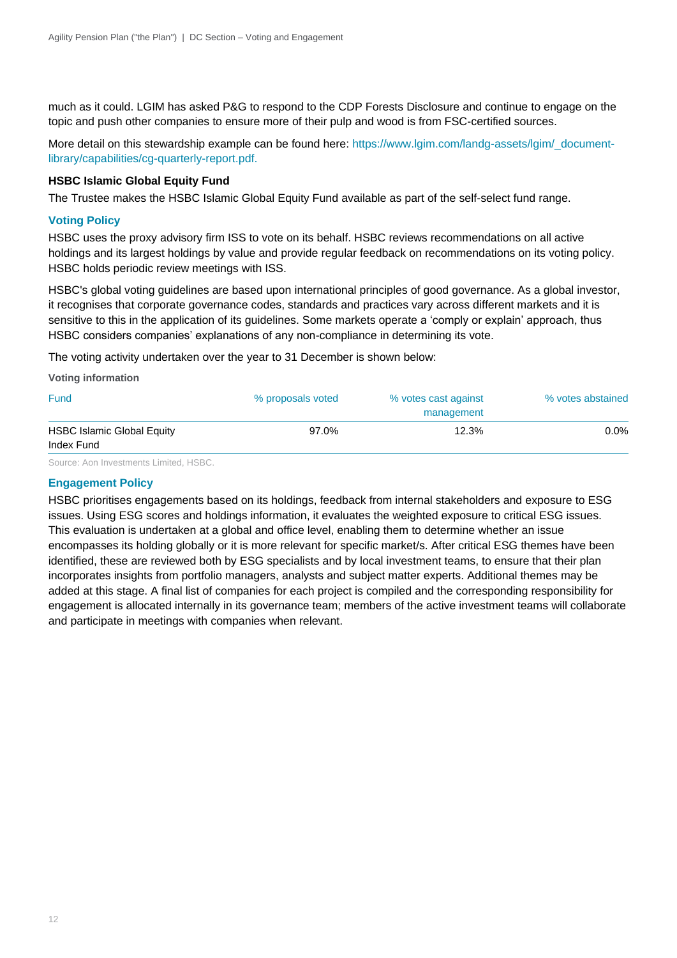much as it could. LGIM has asked P&G to respond to the CDP Forests Disclosure and continue to engage on the topic and push other companies to ensure more of their pulp and wood is from FSC-certified sources.

More detail on this stewardship example can be found here: [https://www.lgim.com/landg-assets/lgim/\\_document](https://www.lgim.com/landg-assets/lgim/_document-library/capabilities/cg-quarterly-report.pdf)[library/capabilities/cg-quarterly-report.pdf.](https://www.lgim.com/landg-assets/lgim/_document-library/capabilities/cg-quarterly-report.pdf)

### **HSBC Islamic Global Equity Fund**

The Trustee makes the HSBC Islamic Global Equity Fund available as part of the self-select fund range.

### **Voting Policy**

HSBC uses the proxy advisory firm ISS to vote on its behalf. HSBC reviews recommendations on all active holdings and its largest holdings by value and provide regular feedback on recommendations on its voting policy. HSBC holds periodic review meetings with ISS.

HSBC's global voting guidelines are based upon international principles of good governance. As a global investor, it recognises that corporate governance codes, standards and practices vary across different markets and it is sensitive to this in the application of its guidelines. Some markets operate a 'comply or explain' approach, thus HSBC considers companies' explanations of any non-compliance in determining its vote.

The voting activity undertaken over the year to 31 December is shown below:

**Voting information** 

| <b>Fund</b>                       | % proposals voted | % votes cast against | % votes abstained |
|-----------------------------------|-------------------|----------------------|-------------------|
|                                   |                   | management           |                   |
| <b>HSBC Islamic Global Equity</b> | 97.0%             | 12.3%                | 0.0%              |
| Index Fund                        |                   |                      |                   |

Source: Aon Investments Limited, HSBC.

### **Engagement Policy**

HSBC prioritises engagements based on its holdings, feedback from internal stakeholders and exposure to ESG issues. Using ESG scores and holdings information, it evaluates the weighted exposure to critical ESG issues. This evaluation is undertaken at a global and office level, enabling them to determine whether an issue encompasses its holding globally or it is more relevant for specific market/s. After critical ESG themes have been identified, these are reviewed both by ESG specialists and by local investment teams, to ensure that their plan incorporates insights from portfolio managers, analysts and subject matter experts. Additional themes may be added at this stage. A final list of companies for each project is compiled and the corresponding responsibility for engagement is allocated internally in its governance team; members of the active investment teams will collaborate and participate in meetings with companies when relevant.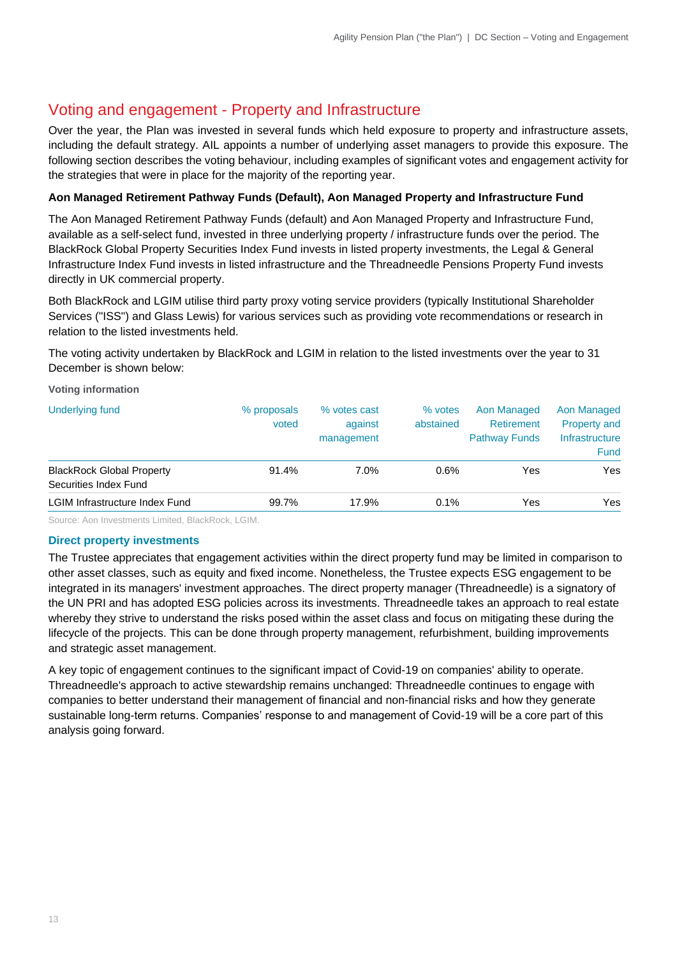## Voting and engagement - Property and Infrastructure

Over the year, the Plan was invested in several funds which held exposure to property and infrastructure assets, including the default strategy. AIL appoints a number of underlying asset managers to provide this exposure. The following section describes the voting behaviour, including examples of significant votes and engagement activity for the strategies that were in place for the majority of the reporting year.

### **Aon Managed Retirement Pathway Funds (Default), Aon Managed Property and Infrastructure Fund**

The Aon Managed Retirement Pathway Funds (default) and Aon Managed Property and Infrastructure Fund, available as a self-select fund, invested in three underlying property / infrastructure funds over the period. The BlackRock Global Property Securities Index Fund invests in listed property investments, the Legal & General Infrastructure Index Fund invests in listed infrastructure and the Threadneedle Pensions Property Fund invests directly in UK commercial property.

Both BlackRock and LGIM utilise third party proxy voting service providers (typically Institutional Shareholder Services ("ISS") and Glass Lewis) for various services such as providing vote recommendations or research in relation to the listed investments held.

The voting activity undertaken by BlackRock and LGIM in relation to the listed investments over the year to 31 December is shown below:

**Voting information**

| Underlying fund                                           | % proposals<br>voted | % votes cast<br>against<br>management | % votes<br>abstained | Aon Managed<br>Retirement<br><b>Pathway Funds</b> | Aon Managed<br><b>Property and</b><br>Infrastructure<br><b>Fund</b> |
|-----------------------------------------------------------|----------------------|---------------------------------------|----------------------|---------------------------------------------------|---------------------------------------------------------------------|
| <b>BlackRock Global Property</b><br>Securities Index Fund | 91.4%                | $7.0\%$                               | 0.6%                 | Yes                                               | Yes                                                                 |
| LGIM Infrastructure Index Fund                            | 99.7%                | 17.9%                                 | 0.1%                 | Yes                                               | Yes                                                                 |

Source: Aon Investments Limited, BlackRock, LGIM.

### **Direct property investments**

The Trustee appreciates that engagement activities within the direct property fund may be limited in comparison to other asset classes, such as equity and fixed income. Nonetheless, the Trustee expects ESG engagement to be integrated in its managers' investment approaches. The direct property manager (Threadneedle) is a signatory of the UN PRI and has adopted ESG policies across its investments. Threadneedle takes an approach to real estate whereby they strive to understand the risks posed within the asset class and focus on mitigating these during the lifecycle of the projects. This can be done through property management, refurbishment, building improvements and strategic asset management.

A key topic of engagement continues to the significant impact of Covid-19 on companies' ability to operate. Threadneedle's approach to active stewardship remains unchanged: Threadneedle continues to engage with companies to better understand their management of financial and non-financial risks and how they generate sustainable long-term returns. Companies' response to and management of Covid-19 will be a core part of this analysis going forward.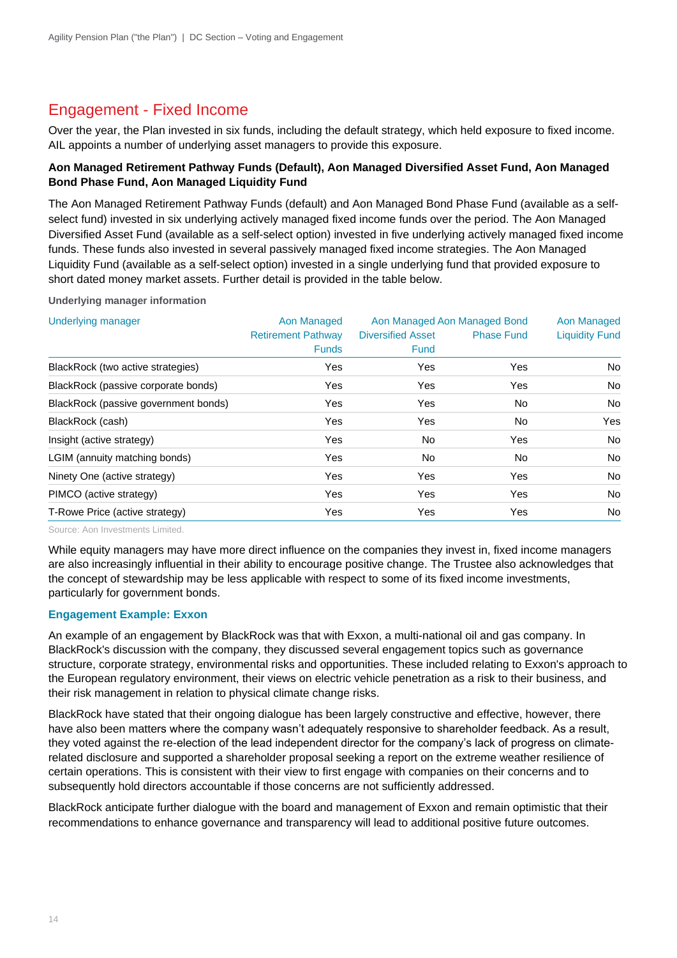## Engagement - Fixed Income

Over the year, the Plan invested in six funds, including the default strategy, which held exposure to fixed income. AIL appoints a number of underlying asset managers to provide this exposure.

### **Aon Managed Retirement Pathway Funds (Default), Aon Managed Diversified Asset Fund, Aon Managed Bond Phase Fund, Aon Managed Liquidity Fund**

The Aon Managed Retirement Pathway Funds (default) and Aon Managed Bond Phase Fund (available as a selfselect fund) invested in six underlying actively managed fixed income funds over the period. The Aon Managed Diversified Asset Fund (available as a self-select option) invested in five underlying actively managed fixed income funds. These funds also invested in several passively managed fixed income strategies. The Aon Managed Liquidity Fund (available as a self-select option) invested in a single underlying fund that provided exposure to short dated money market assets. Further detail is provided in the table below.

**Underlying manager information**

| <b>Underlying manager</b>            | Aon Managed               | Aon Managed Aon Managed Bond | Aon Managed       |                       |
|--------------------------------------|---------------------------|------------------------------|-------------------|-----------------------|
|                                      | <b>Retirement Pathway</b> | <b>Diversified Asset</b>     | <b>Phase Fund</b> | <b>Liquidity Fund</b> |
|                                      | <b>Funds</b>              | <b>Fund</b>                  |                   |                       |
| BlackRock (two active strategies)    | Yes                       | Yes                          | Yes               | No                    |
| BlackRock (passive corporate bonds)  | Yes                       | Yes                          | Yes               | No                    |
| BlackRock (passive government bonds) | Yes                       | Yes                          | No.               | No                    |
| BlackRock (cash)                     | Yes                       | Yes                          | No                | Yes                   |
| Insight (active strategy)            | Yes                       | No.                          | Yes               | No                    |
| LGIM (annuity matching bonds)        | Yes                       | No.                          | No.               | No                    |
| Ninety One (active strategy)         | Yes                       | Yes                          | Yes               | No                    |
| PIMCO (active strategy)              | Yes                       | Yes                          | Yes               | No                    |
| T-Rowe Price (active strategy)       | Yes                       | Yes                          | Yes               | No                    |

Source: Aon Investments Limited.

While equity managers may have more direct influence on the companies they invest in, fixed income managers are also increasingly influential in their ability to encourage positive change. The Trustee also acknowledges that the concept of stewardship may be less applicable with respect to some of its fixed income investments, particularly for government bonds.

### **Engagement Example: Exxon**

An example of an engagement by BlackRock was that with Exxon, a multi-national oil and gas company. In BlackRock's discussion with the company, they discussed several engagement topics such as governance structure, corporate strategy, environmental risks and opportunities. These included relating to Exxon's approach to the European regulatory environment, their views on electric vehicle penetration as a risk to their business, and their risk management in relation to physical climate change risks.

BlackRock have stated that their ongoing dialogue has been largely constructive and effective, however, there have also been matters where the company wasn't adequately responsive to shareholder feedback. As a result, they voted against the re-election of the lead independent director for the company's lack of progress on climaterelated disclosure and supported a shareholder proposal seeking a report on the extreme weather resilience of certain operations. This is consistent with their view to first engage with companies on their concerns and to subsequently hold directors accountable if those concerns are not sufficiently addressed.

BlackRock anticipate further dialogue with the board and management of Exxon and remain optimistic that their recommendations to enhance governance and transparency will lead to additional positive future outcomes.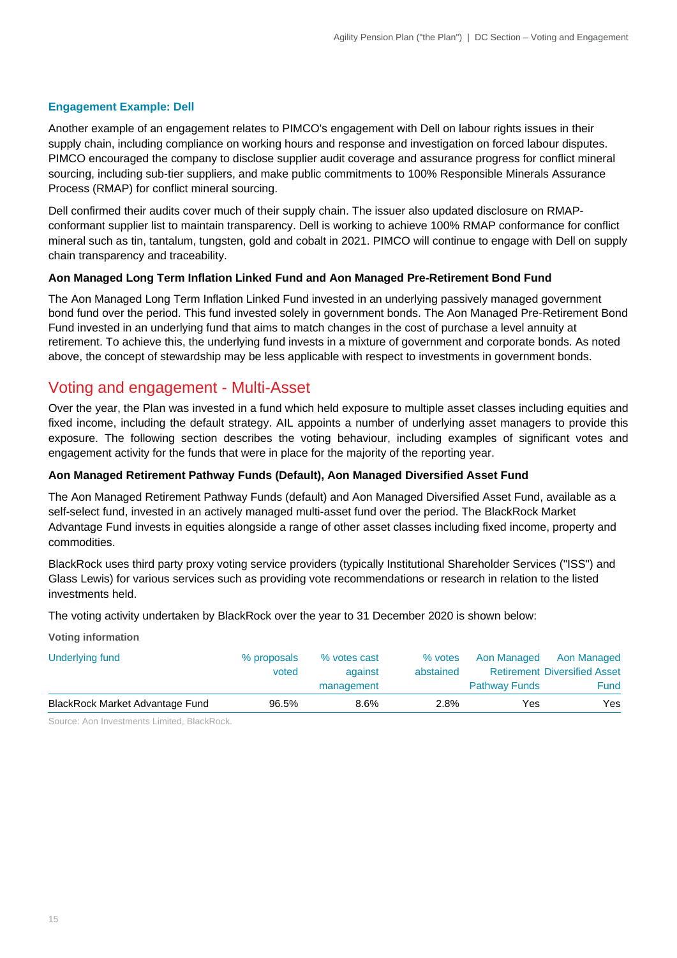### **Engagement Example: Dell**

Another example of an engagement relates to PIMCO's engagement with Dell on labour rights issues in their supply chain, including compliance on working hours and response and investigation on forced labour disputes. PIMCO encouraged the company to disclose supplier audit coverage and assurance progress for conflict mineral sourcing, including sub-tier suppliers, and make public commitments to 100% Responsible Minerals Assurance Process (RMAP) for conflict mineral sourcing.

Dell confirmed their audits cover much of their supply chain. The issuer also updated disclosure on RMAPconformant supplier list to maintain transparency. Dell is working to achieve 100% RMAP conformance for conflict mineral such as tin, tantalum, tungsten, gold and cobalt in 2021. PIMCO will continue to engage with Dell on supply chain transparency and traceability.

### **Aon Managed Long Term Inflation Linked Fund and Aon Managed Pre-Retirement Bond Fund**

The Aon Managed Long Term Inflation Linked Fund invested in an underlying passively managed government bond fund over the period. This fund invested solely in government bonds. The Aon Managed Pre-Retirement Bond Fund invested in an underlying fund that aims to match changes in the cost of purchase a level annuity at retirement. To achieve this, the underlying fund invests in a mixture of government and corporate bonds. As noted above, the concept of stewardship may be less applicable with respect to investments in government bonds.

### Voting and engagement - Multi-Asset

Over the year, the Plan was invested in a fund which held exposure to multiple asset classes including equities and fixed income, including the default strategy. AIL appoints a number of underlying asset managers to provide this exposure. The following section describes the voting behaviour, including examples of significant votes and engagement activity for the funds that were in place for the majority of the reporting year.

### **Aon Managed Retirement Pathway Funds (Default), Aon Managed Diversified Asset Fund**

The Aon Managed Retirement Pathway Funds (default) and Aon Managed Diversified Asset Fund, available as a self-select fund, invested in an actively managed multi-asset fund over the period. The BlackRock Market Advantage Fund invests in equities alongside a range of other asset classes including fixed income, property and commodities.

BlackRock uses third party proxy voting service providers (typically Institutional Shareholder Services ("ISS") and Glass Lewis) for various services such as providing vote recommendations or research in relation to the listed investments held.

The voting activity undertaken by BlackRock over the year to 31 December 2020 is shown below:

**Voting information**

| Underlying fund                 | % proposals | % votes cast | % votes   | Aon Managed          | Aon Managed                         |
|---------------------------------|-------------|--------------|-----------|----------------------|-------------------------------------|
|                                 | voted       | against      | abstained |                      | <b>Retirement Diversified Asset</b> |
|                                 |             | management   |           | <b>Pathway Funds</b> | Fund                                |
| BlackRock Market Advantage Fund | 96.5%       | 8.6%         | 2.8%      | Yes                  | Yes                                 |

Source: Aon Investments Limited, BlackRock.